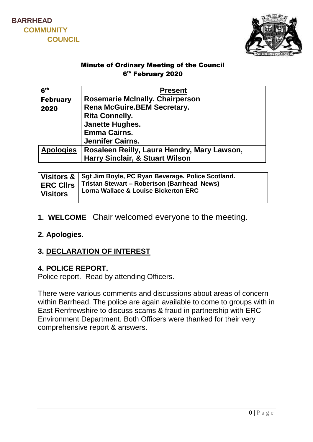



#### Minute of Ordinary Meeting of the Council 6 th February 2020

| 6 <sup>th</sup>  | <b>Present</b>                              |
|------------------|---------------------------------------------|
| <b>February</b>  | <b>Rosemarie McInally. Chairperson</b>      |
| 2020             | <b>Rena McGuire.BEM Secretary.</b>          |
|                  | <b>Rita Connelly.</b>                       |
|                  | <b>Janette Hughes.</b>                      |
|                  | <b>Emma Cairns.</b>                         |
|                  | Jennifer Cairns.                            |
| <b>Apologies</b> | Rosaleen Reilly, Laura Hendry, Mary Lawson, |
|                  | <b>Harry Sinclair, &amp; Stuart Wilson</b>  |

| Visitors & Sgt Jim Boyle, PC Ryan Beverage. Police Scotland.<br><b>ERC CIIrs   Tristan Stewart - Robertson (Barrhead News)</b><br><b>Lorna Wallace &amp; Louise Bickerton ERC</b><br><b>Visitors</b> |  |
|------------------------------------------------------------------------------------------------------------------------------------------------------------------------------------------------------|--|
|------------------------------------------------------------------------------------------------------------------------------------------------------------------------------------------------------|--|

1. **WELCOME** Chair welcomed everyone to the meeting.

#### **2. Apologies.**

# **3. DECLARATION OF INTEREST**

#### **4. POLICE REPORT.**

Police report. Read by attending Officers.

There were various comments and discussions about areas of concern within Barrhead. The police are again available to come to groups with in East Renfrewshire to discuss scams & fraud in partnership with ERC Environment Department. Both Officers were thanked for their very comprehensive report & answers.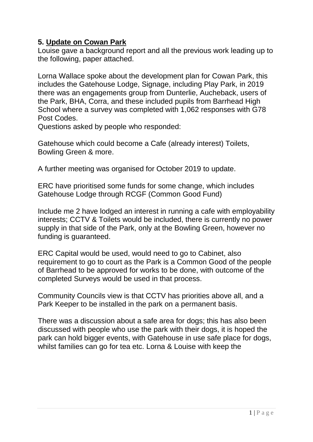### **5. Update on Cowan Park**

Louise gave a background report and all the previous work leading up to the following, paper attached.

Lorna Wallace spoke about the development plan for Cowan Park, this includes the Gatehouse Lodge, Signage, including Play Park, in 2019 there was an engagements group from Dunterlie, Aucheback, users of the Park, BHA, Corra, and these included pupils from Barrhead High School where a survey was completed with 1,062 responses with G78 Post Codes.

Questions asked by people who responded:

Gatehouse which could become a Cafe (already interest) Toilets, Bowling Green & more.

A further meeting was organised for October 2019 to update.

ERC have prioritised some funds for some change, which includes Gatehouse Lodge through RCGF (Common Good Fund)

Include me 2 have lodged an interest in running a cafe with employability interests; CCTV & Toilets would be included, there is currently no power supply in that side of the Park, only at the Bowling Green, however no funding is guaranteed.

ERC Capital would be used, would need to go to Cabinet, also requirement to go to court as the Park is a Common Good of the people of Barrhead to be approved for works to be done, with outcome of the completed Surveys would be used in that process.

Community Councils view is that CCTV has priorities above all, and a Park Keeper to be installed in the park on a permanent basis.

There was a discussion about a safe area for dogs; this has also been discussed with people who use the park with their dogs, it is hoped the park can hold bigger events, with Gatehouse in use safe place for dogs, whilst families can go for tea etc. Lorna & Louise with keep the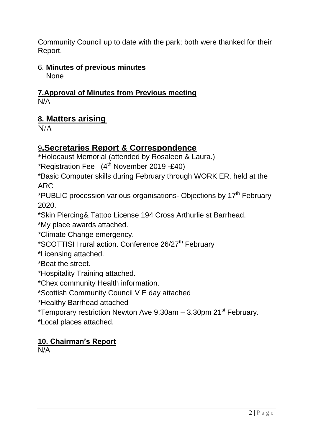Community Council up to date with the park; both were thanked for their Report.

# 6. **Minutes of previous minutes**

**None** 

#### **7.Approval of Minutes from Previous meeting**  N/A

# **8. Matters arising**

 $N/A$ 

# 9**.Secretaries Report & Correspondence**

\*Holocaust Memorial (attended by Rosaleen & Laura.)

\*Registration Fee  $(4<sup>th</sup>$  November 2019 -£40)

\*Basic Computer skills during February through WORK ER, held at the ARC

\*PUBLIC procession various organisations- Objections by 17<sup>th</sup> February 2020.

\*Skin Piercing& Tattoo License 194 Cross Arthurlie st Barrhead.

\*My place awards attached.

\*Climate Change emergency.

\*SCOTTISH rural action. Conference 26/27<sup>th</sup> February

\*Licensing attached.

\*Beat the street.

\*Hospitality Training attached.

\*Chex community Health information.

\*Scottish Community Council V E day attached

\*Healthy Barrhead attached

\*Temporary restriction Newton Ave 9.30am – 3.30pm 21st February.

\*Local places attached.

# **10. Chairman's Report**

N/A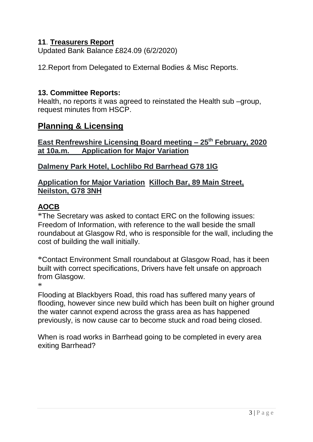### **11**. **Treasurers Report**

Updated Bank Balance £824.09 (6/2/2020)

12.Report from Delegated to External Bodies & Misc Reports.

#### **13. Committee Reports:**

Health, no reports it was agreed to reinstated the Health sub –group, request minutes from HSCP.

# **Planning & Licensing**

**East Renfrewshire Licensing Board meeting – 25th February, 2020 at 10a.m. Application for Major Variation**

#### **Dalmeny Park Hotel, Lochlibo Rd Barrhead G78 1lG**

#### **Application for Major Variation Killoch Bar, 89 Main Street, Neilston, G78 3NH**

# **AOCB**

\*The Secretary was asked to contact ERC on the following issues: Freedom of Information, with reference to the wall beside the small roundabout at Glasgow Rd, who is responsible for the wall, including the cost of building the wall initially.

\*Contact Environment Small roundabout at Glasgow Road, has it been built with correct specifications, Drivers have felt unsafe on approach from Glasgow.

\*

Flooding at Blackbyers Road, this road has suffered many years of flooding, however since new build which has been built on higher ground the water cannot expend across the grass area as has happened previously, is now cause car to become stuck and road being closed.

When is road works in Barrhead going to be completed in every area exiting Barrhead?